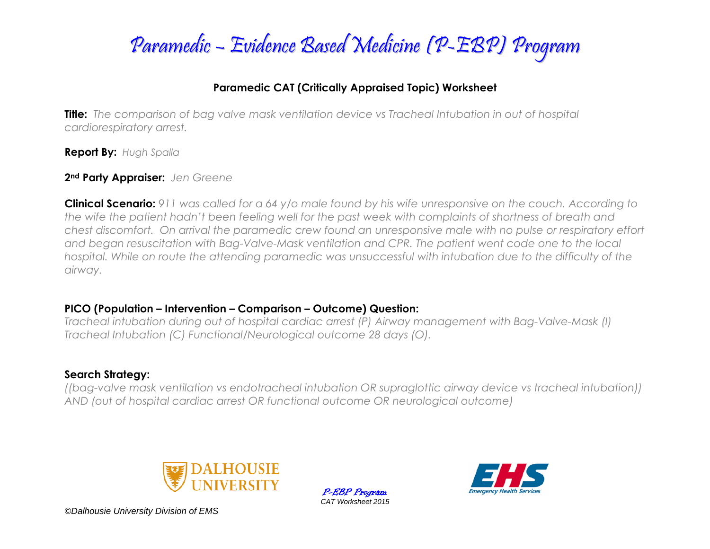

### **Paramedic CAT (Critically Appraised Topic) Worksheet**

**Title:** *The comparison of bag valve mask ventilation device vs Tracheal Intubation in out of hospital cardiorespiratory arrest.*

**Report By:** *Hugh Spalla*

### **2nd Party Appraiser:** *Jen Greene*

**Clinical Scenario:** *911 was called for a 64 y/o male found by his wife unresponsive on the couch. According to the wife the patient hadn't been feeling well for the past week with complaints of shortness of breath and chest discomfort. On arrival the paramedic crew found an unresponsive male with no pulse or respiratory effort and began resuscitation with Bag-Valve-Mask ventilation and CPR. The patient went code one to the local hospital. While on route the attending paramedic was unsuccessful with intubation due to the difficulty of the airway.*

### **PICO (Population – Intervention – Comparison – Outcome) Question:**

*Tracheal intubation during out of hospital cardiac arrest (P) Airway management with Bag-Valve-Mask (I) Tracheal Intubation (C) Functional/Neurological outcome 28 days (O).*

## **Search Strategy:**

*((bag-valve mask ventilation vs endotracheal intubation OR supraglottic airway device vs tracheal intubation)) AND (out of hospital cardiac arrest OR functional outcome OR neurological outcome)*



P-EBP Program *CAT Worksheet 2015*



*©Dalhousie University Division of EMS*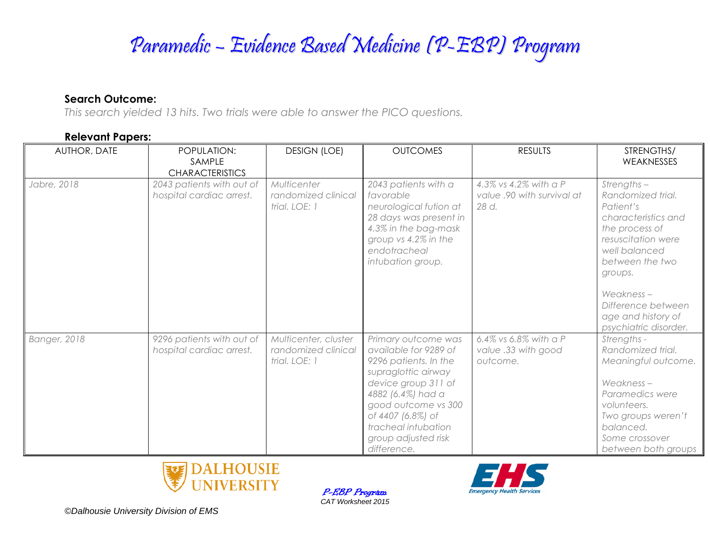# Paramedic – Evidence Based Medicine (P-EBP) Program

### **Search Outcome:**

*This search yielded 13 hits. Two trials were able to answer the PICO questions.*

### **Relevant Papers:**

| AUTHOR, DATE        | POPULATION:<br>SAMPLE                                 | <b>DESIGN (LOE)</b>                                          | <b>OUTCOMES</b>                                                                                                                                                                                                                                   | <b>RESULTS</b>                                               | STRENGTHS/<br>WEAKNESSES                                                                                                                                                           |
|---------------------|-------------------------------------------------------|--------------------------------------------------------------|---------------------------------------------------------------------------------------------------------------------------------------------------------------------------------------------------------------------------------------------------|--------------------------------------------------------------|------------------------------------------------------------------------------------------------------------------------------------------------------------------------------------|
|                     | <b>CHARACTERISTICS</b>                                |                                                              |                                                                                                                                                                                                                                                   |                                                              |                                                                                                                                                                                    |
| Jabre, 2018         | 2043 patients with out of<br>hospital cardiac arrest. | Multicenter<br>randomized clinical<br>trial. LOE: 1          | 2043 patients with a<br>favorable<br>neurological fution at<br>28 days was present in<br>4.3% in the bag-mask<br>group vs 4.2% in the<br>endotracheal<br>intubation group.                                                                        | 4.3% vs 4.2% with a P<br>value .90 with survival at<br>28 d. | $Strengths -$<br>Randomized trial.<br>Patient's<br>characteristics and<br>the process of<br>resuscitation were<br>well balanced<br>between the two<br>groups.<br>Weakness-         |
|                     |                                                       |                                                              |                                                                                                                                                                                                                                                   |                                                              | Difference between<br>age and history of<br>psychiatric disorder.                                                                                                                  |
| <b>Banger, 2018</b> | 9296 patients with out of<br>hospital cardiac arrest. | Multicenter, cluster<br>randomized clinical<br>trial. LOE: 1 | Primary outcome was<br>available for 9289 of<br>9296 patients. In the<br>supraglottic airway<br>device group 311 of<br>4882 (6.4%) had a<br>good outcome vs 300<br>of 4407 (6.8%) of<br>tracheal intubation<br>group adjusted risk<br>difference. | 6.4% vs 6.8% with a P<br>value .33 with good<br>outcome.     | Strengths -<br>Randomized trial.<br>Meaningful outcome.<br>Weakness-<br>Paramedics were<br>volunteers.<br>Two groups weren't<br>balanced.<br>Some crossover<br>between both groups |





*©Dalhousie University Division of EMS*

P-EBP Program *CAT Worksheet 2015*